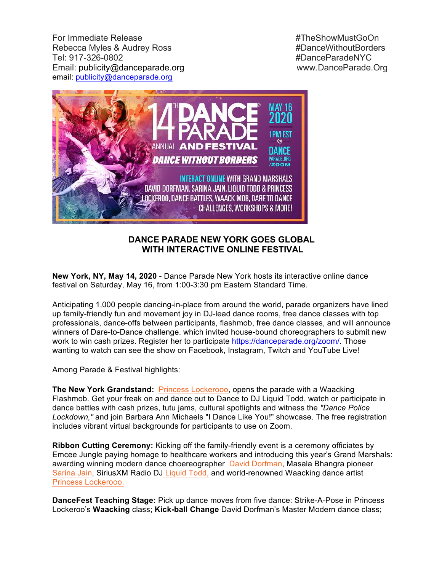For Immediate Release #TheShowMustGoOn Rebecca Myles & Audrey Ross **#DanceWithoutBorders** Tel: 917-326-0802 #DanceParadeNYC Email: publicity@danceparade.org www.DanceParade.Org email: publicity@danceparade.org



## **DANCE PARADE NEW YORK GOES GLOBAL WITH INTERACTIVE ONLINE FESTIVAL**

**New York, NY, May 14, 2020** - Dance Parade New York hosts its interactive online dance festival on Saturday, May 16, from 1:00-3:30 pm Eastern Standard Time.

Anticipating 1,000 people dancing-in-place from around the world, parade organizers have lined up family-friendly fun and movement joy in DJ-lead dance rooms, free dance classes with top professionals, dance-offs between participants, flashmob, free dance classes, and will announce winners of Dare-to-Dance challenge. which invited house-bound choreographers to submit new work to win cash prizes. Register her to participate https://danceparade.org/zoom/. Those wanting to watch can see the show on Facebook, Instagram, Twitch and YouTube Live!

Among Parade & Festival highlights:

**The New York Grandstand:** Princess Lockerooo, opens the parade with a Waacking Flashmob. Get your freak on and dance out to Dance to DJ Liquid Todd, watch or participate in dance battles with cash prizes, tutu jams, cultural spotlights and witness the *"Dance Police Lockdown,"* and join Barbara Ann Michaels "I Dance Like You!" showcase. The free registration includes vibrant virtual backgrounds for participants to use on Zoom.

**Ribbon Cutting Ceremony:** Kicking off the family-friendly event is a ceremony officiates by Emcee Jungle paying homage to healthcare workers and introducing this year's Grand Marshals: awarding winning modern dance choereographer David Dorfman, Masala Bhangra pioneer Sarina Jain, SiriusXM Radio DJ Liquid Todd, and world-renowned Waacking dance artist Princess Lockerooo.

**DanceFest Teaching Stage:** Pick up dance moves from five dance: Strike-A-Pose in Princess Lockeroo's **Waacking** class; **Kick-ball Change** David Dorfman's Master Modern dance class;